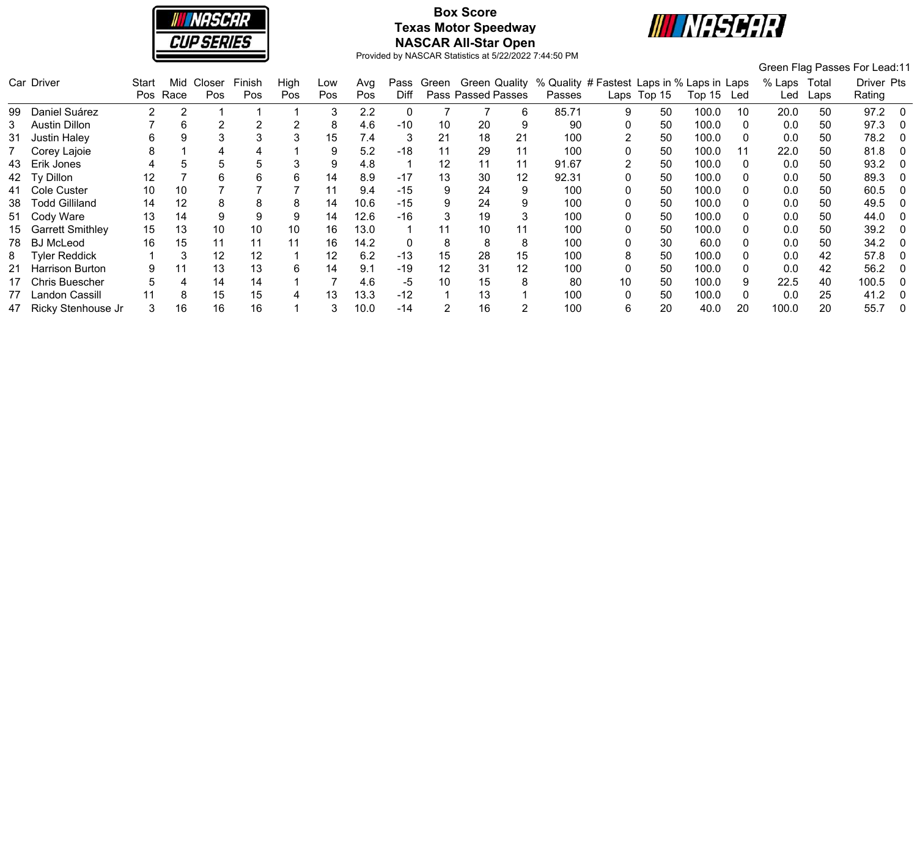

# **Box Score Texas Motor Speedway NASCAR All-Star Open**



|     |                         |       |      |        |        |      |     |      |       |            |                    |    |                                                          |      |        |            |    |        |       | Green Flag Passes For Lead:11 |     |
|-----|-------------------------|-------|------|--------|--------|------|-----|------|-------|------------|--------------------|----|----------------------------------------------------------|------|--------|------------|----|--------|-------|-------------------------------|-----|
|     | Car Driver              | Start | Mid  | Closer | Finish | High | Low | Avg  |       | Pass Green |                    |    | Green Quality % Quality # Fastest Laps in % Laps in Laps |      |        |            |    | % Laps | Total | Driver Pts                    |     |
|     |                         | Pos   | Race | Pos    | Pos    | Pos  | Pos | Pos  | Diff  |            | Pass Passed Passes |    | Passes                                                   | Laps | Top 15 | Top 15 Led |    | Led    | Laps  | Rating                        |     |
| 99. | Daniel Suárez           | 2     | റ    |        |        |      | 3   | 2.2  | 0     |            |                    | 6  | 85.71                                                    | 9    | 50     | 100.0      | 10 | 20.0   | 50    | 97.2                          | - 0 |
| 3   | <b>Austin Dillon</b>    |       | 6    | 2      | 2      | 2    | 8   | 4.6  | $-10$ | 10         | 20                 | 9  | 90                                                       |      | 50     | 100.0      |    | 0.0    | 50    | 97.3                          |     |
| 31  | <b>Justin Haley</b>     | 6     |      |        | 3      |      | 15  | 7.4  | 3     | 21         | 18                 | 21 | 100                                                      |      | 50     | 100.0      |    | 0.0    | 50    | 78.2                          |     |
|     | Corey Lajoie            | 8     |      |        |        |      | 9   | 5.2  | $-18$ | 11         | 29                 | 11 | 100                                                      |      | 50     | 100.0      | 11 | 22.0   | 50    | 81.8                          |     |
| 43  | Erik Jones              |       |      | 5      | 5      |      | 9   | 4.8  |       | 12         | 11                 | 11 | 91.67                                                    |      | 50     | 100.0      |    | 0.0    | 50    | 93.2                          |     |
| 42  | Ty Dillon               | 12    |      | 6      | 6      | 6    | 14  | 8.9  | -17   | 13         | 30                 | 12 | 92.31                                                    |      | 50     | 100.0      |    | 0.0    | 50    | 89.3                          |     |
|     | 41 Cole Custer          | 10    | 10   |        |        |      | 11  | 9.4  | $-15$ | 9          | 24                 | 9  | 100                                                      |      | 50     | 100.0      |    | 0.0    | 50    | 60.5                          | - 0 |
| 38  | <b>Todd Gilliland</b>   | 14    | 12   | 8      | 8      | 8    | 14  | 10.6 | $-15$ | 9          | 24                 | 9  | 100                                                      |      | 50     | 100.0      |    | 0.0    | 50    | 49.5                          | - 0 |
|     | 51 Cody Ware            | 13    | 14   | 9      | 9      | 9    | 14  | 12.6 | $-16$ | 3          | 19                 | 3  | 100                                                      |      | 50     | 100.0      |    | 0.0    | 50    | 44.0                          |     |
|     | <b>Garrett Smithley</b> | 15    | 13   | 10     | 10     | 10   | 16  | 13.0 |       | 11         | 10                 | 11 | 100                                                      |      | 50     | 100.0      |    | 0.0    | 50    | 39.2                          | - 0 |
| 78  | <b>BJ</b> McLeod        | 16    | 15   | 11     | 11     | 11   | 16  | 14.2 | 0     | 8          | 8                  | 8  | 100                                                      |      | 30     | 60.0       |    | 0.0    | 50    | 34.2                          |     |
| 8   | <b>Tyler Reddick</b>    |       | 3    | 12     | 12     |      | 12  | 6.2  | $-13$ | 15         | 28                 | 15 | 100                                                      | 8    | 50     | 100.0      |    | 0.0    | 42    | 57.8                          |     |
| 21  | Harrison Burton         |       | 11   | 13     | 13     | 6    | 14  | 9.1  | $-19$ | 12         | 31                 | 12 | 100                                                      |      | 50     | 100.0      |    | 0.0    | 42    | 56.2                          |     |
|     | <b>Chris Buescher</b>   |       |      | 14     | 14     |      |     | 4.6  | -5    | 10         | 15                 | 8  | 80                                                       | 10   | 50     | 100.0      |    | 22.5   | 40    | 100.5                         |     |
|     | Landon Cassill          |       | 8    | 15     | 15     |      | 13  | 13.3 | $-12$ |            | 13                 |    | 100                                                      |      | 50     | 100.0      |    | 0.0    | 25    | 41.2                          |     |
|     | 47 Ricky Stenhouse Jr   |       | 16   | 16     | 16     |      |     | 10.0 | $-14$ | 2          | 16                 |    | 100                                                      | 6    | 20     | 40.0       | 20 | 100.0  | 20    | 55.7                          | - 0 |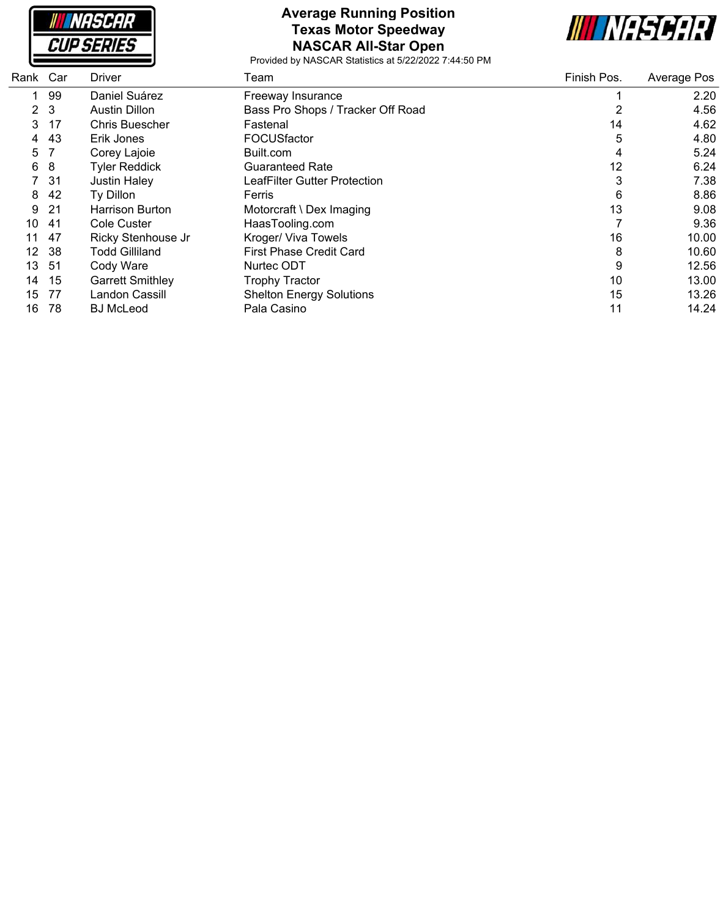NASCAR **CUP SERIES** 

## **Average Running Position Texas Motor Speedway NASCAR All-Star Open**



| Rank Car |                | <b>Driver</b>           | Team                              | Finish Pos. | Average Pos |
|----------|----------------|-------------------------|-----------------------------------|-------------|-------------|
| 1.       | 99             | Daniel Suárez           | Freeway Insurance                 |             | 2.20        |
|          | 2 <sub>3</sub> | <b>Austin Dillon</b>    | Bass Pro Shops / Tracker Off Road | 2           | 4.56        |
| 3        | 17             | Chris Buescher          | Fastenal                          | 14          | 4.62        |
| 4        | 43             | Erik Jones              | <b>FOCUSfactor</b>                | 5           | 4.80        |
| 5        |                | Corey Lajoie            | Built.com                         | 4           | 5.24        |
| 6        | 8              | <b>Tyler Reddick</b>    | <b>Guaranteed Rate</b>            | 12          | 6.24        |
|          | 7 31           | Justin Haley            | LeafFilter Gutter Protection      | 3           | 7.38        |
| 8        | 42             | Ty Dillon               | Ferris                            | 6           | 8.86        |
| 9        | 21             | <b>Harrison Burton</b>  | Motorcraft \ Dex Imaging          | 13          | 9.08        |
| 10       | -41            | Cole Custer             | HaasTooling.com                   |             | 9.36        |
| 11       | 47             | Ricky Stenhouse Jr      | Kroger/ Viva Towels               | 16          | 10.00       |
| 12       | -38            | <b>Todd Gilliland</b>   | <b>First Phase Credit Card</b>    | 8           | 10.60       |
| 13       | -51            | Cody Ware               | Nurtec ODT                        | 9           | 12.56       |
| 14       | 15             | <b>Garrett Smithley</b> | <b>Trophy Tractor</b>             | 10          | 13.00       |
| 15       | 77             | Landon Cassill          | <b>Shelton Energy Solutions</b>   | 15          | 13.26       |
| 16       | 78             | <b>BJ</b> McLeod        | Pala Casino                       | 11          | 14.24       |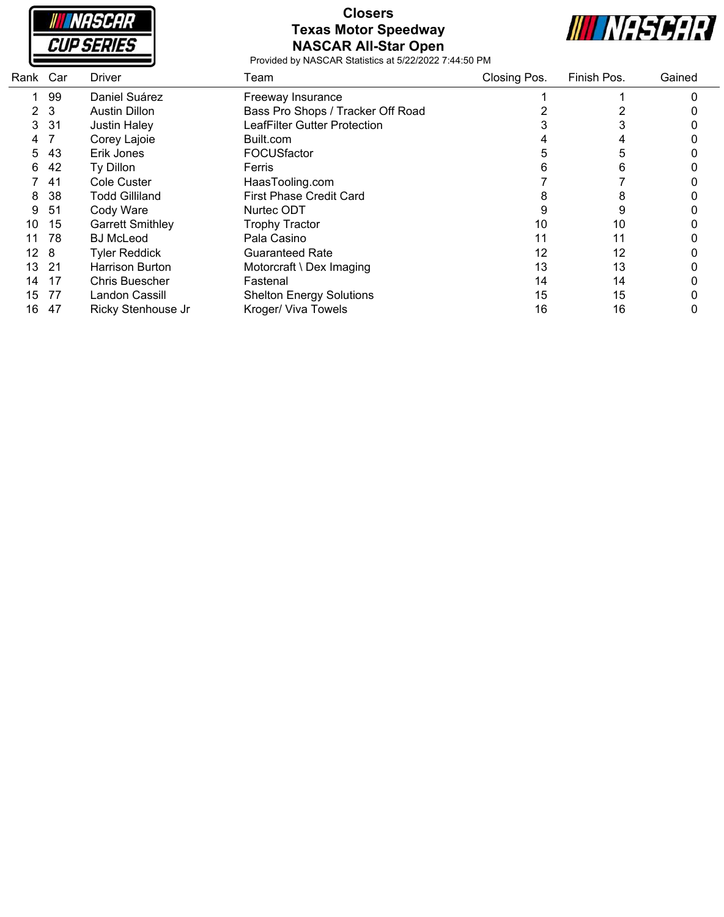

### **Closers Texas Motor Speedway NASCAR All-Star Open**



| Rank Car        |                | <b>Driver</b>           | Team                                | Closing Pos. | Finish Pos. | Gained |
|-----------------|----------------|-------------------------|-------------------------------------|--------------|-------------|--------|
|                 | 99             | Daniel Suárez           | Freeway Insurance                   |              |             |        |
|                 | 2 <sub>3</sub> | <b>Austin Dillon</b>    | Bass Pro Shops / Tracker Off Road   |              |             |        |
| 3               | -31            | <b>Justin Haley</b>     | <b>LeafFilter Gutter Protection</b> |              |             |        |
| 4               |                | Corey Lajoie            | Built.com                           |              |             |        |
| 5               | 43             | Erik Jones              | FOCUSfactor                         |              | 5           |        |
| 6               | 42             | Ty Dillon               | Ferris                              |              | 6           |        |
|                 | 41             | Cole Custer             | HaasTooling.com                     |              |             |        |
| 8               | 38             | <b>Todd Gilliland</b>   | <b>First Phase Credit Card</b>      | Õ            | 8           |        |
| 9               | 51             | Cody Ware               | Nurtec ODT                          |              | 9           |        |
| 10              | 15             | <b>Garrett Smithley</b> | <b>Trophy Tractor</b>               | 10           | 10          |        |
| 11              | 78             | <b>BJ</b> McLeod        | Pala Casino                         | 11           | 11          |        |
| 12 <sub>8</sub> |                | <b>Tyler Reddick</b>    | <b>Guaranteed Rate</b>              | 12           | 12          |        |
| 13              | 21             | Harrison Burton         | Motorcraft \ Dex Imaging            | 13           | 13          |        |
| 14              | 17             | <b>Chris Buescher</b>   | Fastenal                            | 14           | 14          |        |
| 15              | 77             | Landon Cassill          | <b>Shelton Energy Solutions</b>     | 15           | 15          |        |
| 16              | 47             | Ricky Stenhouse Jr      | Kroger/ Viva Towels                 | 16           | 16          |        |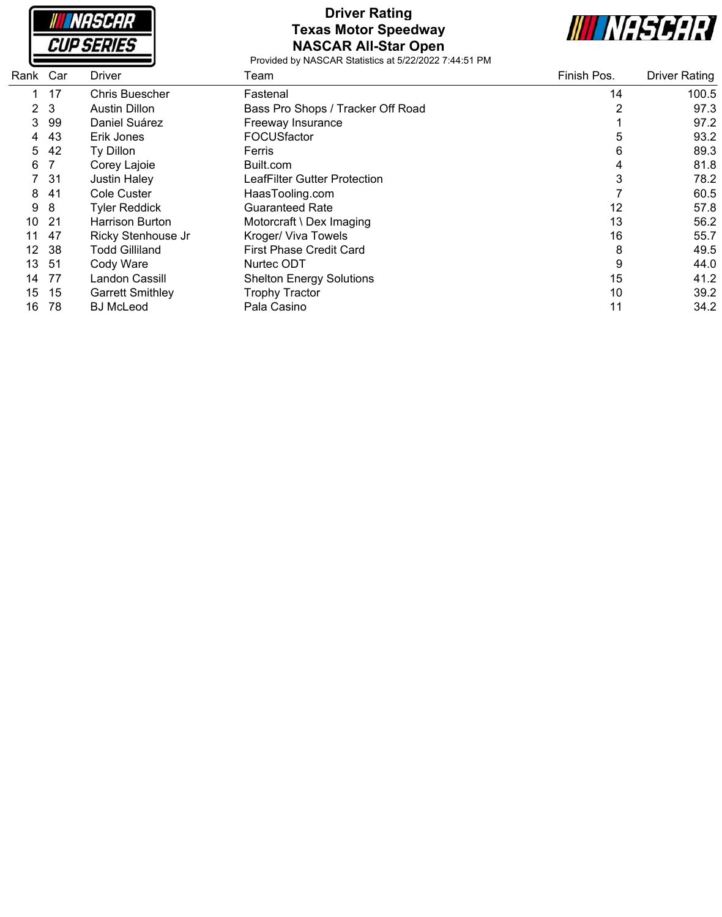

# **Driver Rating Texas Motor Speedway NASCAR All-Star Open**



| Rank Car       |      | Driver                  | Team                              | Finish Pos. | <b>Driver Rating</b> |
|----------------|------|-------------------------|-----------------------------------|-------------|----------------------|
|                | 17   | Chris Buescher          | Fastenal                          | 14          | 100.5                |
| 2 <sub>3</sub> |      | <b>Austin Dillon</b>    | Bass Pro Shops / Tracker Off Road | 2           | 97.3                 |
| 3              | 99   | Daniel Suárez           | Freeway Insurance                 |             | 97.2                 |
| 4              | 43   | Erik Jones              | FOCUSfactor                       | 5           | 93.2                 |
| 5              | 42   | Ty Dillon               | Ferris                            | 6           | 89.3                 |
| 6              |      | Corey Lajoie            | Built.com                         | 4           | 81.8                 |
|                | 7 31 | <b>Justin Haley</b>     | LeafFilter Gutter Protection      | 3           | 78.2                 |
| 8              | -41  | Cole Custer             | HaasTooling.com                   |             | 60.5                 |
| 9              | 8    | <b>Tyler Reddick</b>    | Guaranteed Rate                   | 12          | 57.8                 |
| 10             | -21  | <b>Harrison Burton</b>  | Motorcraft \ Dex Imaging          | 13          | 56.2                 |
| 11             | 47   | Ricky Stenhouse Jr      | Kroger/ Viva Towels               | 16          | 55.7                 |
| 12             | -38  | <b>Todd Gilliland</b>   | <b>First Phase Credit Card</b>    | 8           | 49.5                 |
| 13.            | -51  | Cody Ware               | Nurtec ODT                        | 9           | 44.0                 |
| 14             | -77  | Landon Cassill          | <b>Shelton Energy Solutions</b>   | 15          | 41.2                 |
| 15             | -15  | <b>Garrett Smithley</b> | <b>Trophy Tractor</b>             | 10          | 39.2                 |
| 16             | 78   | <b>BJ</b> McLeod        | Pala Casino                       | 11          | 34.2                 |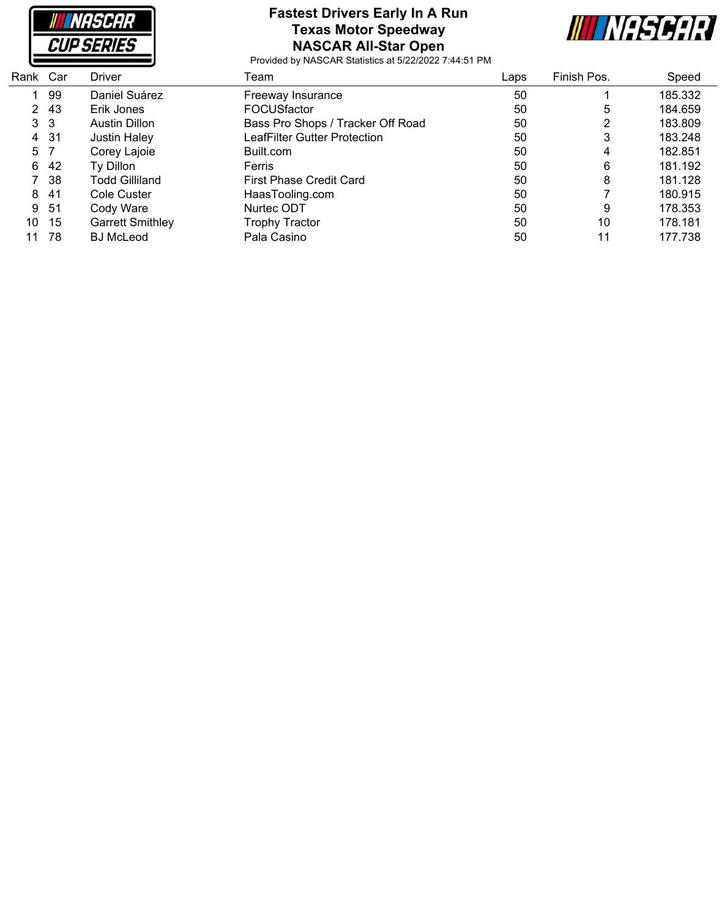

#### **Fastest Drivers Early In A Run Texas Motor Speedway NASCAR All-Star Open**



| Rank Car |                | <b>Driver</b>           | Team                              | Laps | Finish Pos. | Speed   |
|----------|----------------|-------------------------|-----------------------------------|------|-------------|---------|
|          | 99             | Daniel Suárez           | Freeway Insurance                 | 50   |             | 185.332 |
|          | 2 43           | Erik Jones              | <b>FOCUSfactor</b>                | 50   | 5           | 184.659 |
|          | 3 <sub>3</sub> | <b>Austin Dillon</b>    | Bass Pro Shops / Tracker Off Road | 50   | っ           | 183.809 |
|          | 4 31           | <b>Justin Haley</b>     | LeafFilter Gutter Protection      | 50   | 3           | 183.248 |
|          | 5 7            | Corey Lajoie            | Built.com                         | 50   | 4           | 182.851 |
|          | 6 42           | Ty Dillon               | Ferris                            | 50   | 6           | 181.192 |
|          | 7 38           | <b>Todd Gilliland</b>   | First Phase Credit Card           | 50   | 8           | 181.128 |
| 8        | -41            | Cole Custer             | HaasTooling.com                   | 50   |             | 180.915 |
| 9        | -51            | Cody Ware               | Nurtec ODT                        | 50   | 9           | 178.353 |
| 10       | - 15           | <b>Garrett Smithley</b> | <b>Trophy Tractor</b>             | 50   | 10          | 178.181 |
| 11       | 78             | <b>BJ</b> McLeod        | Pala Casino                       | 50   | 11          | 177.738 |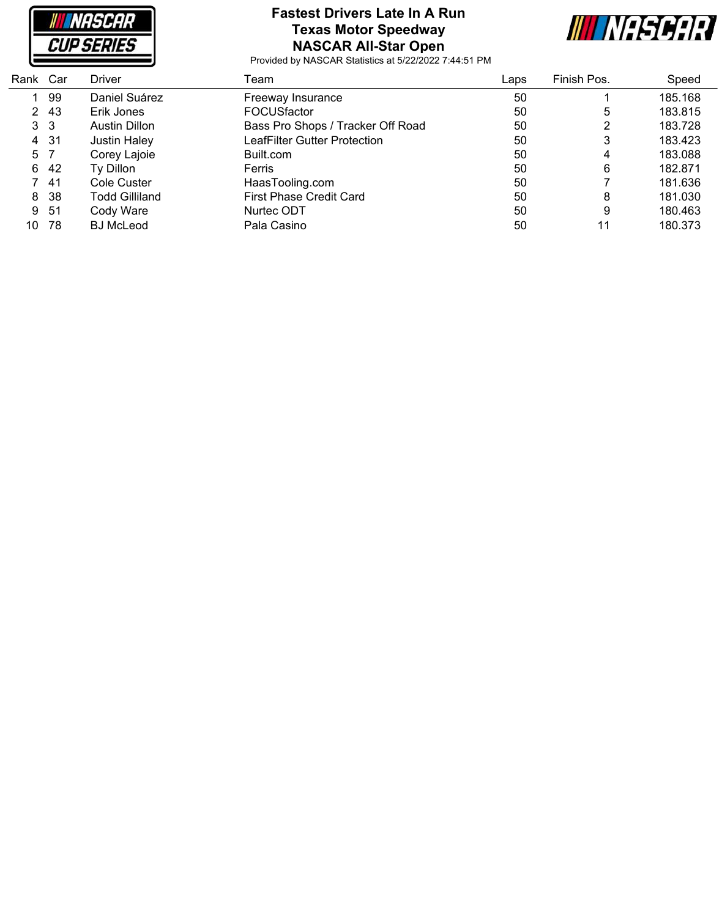

#### **Fastest Drivers Late In A Run Texas Motor Speedway NASCAR All-Star Open**



| Rank Car       |      | Driver                | Team                              | Laps | Finish Pos. | Speed   |
|----------------|------|-----------------------|-----------------------------------|------|-------------|---------|
|                | 99   | Daniel Suárez         | Freeway Insurance                 | 50   |             | 185.168 |
|                | 2 43 | Erik Jones            | <b>FOCUSfactor</b>                | 50   | 5           | 183.815 |
| 3 <sub>3</sub> |      | Austin Dillon         | Bass Pro Shops / Tracker Off Road | 50   | 2           | 183.728 |
|                | 4 31 | <b>Justin Haley</b>   | LeafFilter Gutter Protection      | 50   | 3           | 183.423 |
| 5 7            |      | Corey Lajoie          | Built.com                         | 50   | 4           | 183.088 |
| 6              | 42   | Ty Dillon             | <b>Ferris</b>                     | 50   | 6           | 182.871 |
|                | -41  | Cole Custer           | HaasTooling.com                   | 50   |             | 181.636 |
|                | 8 38 | <b>Todd Gilliland</b> | <b>First Phase Credit Card</b>    | 50   | 8           | 181.030 |
|                | 9 51 | Cody Ware             | Nurtec ODT                        | 50   | 9           | 180.463 |
| 10             | 78   | <b>BJ</b> McLeod      | Pala Casino                       | 50   | 11          | 180.373 |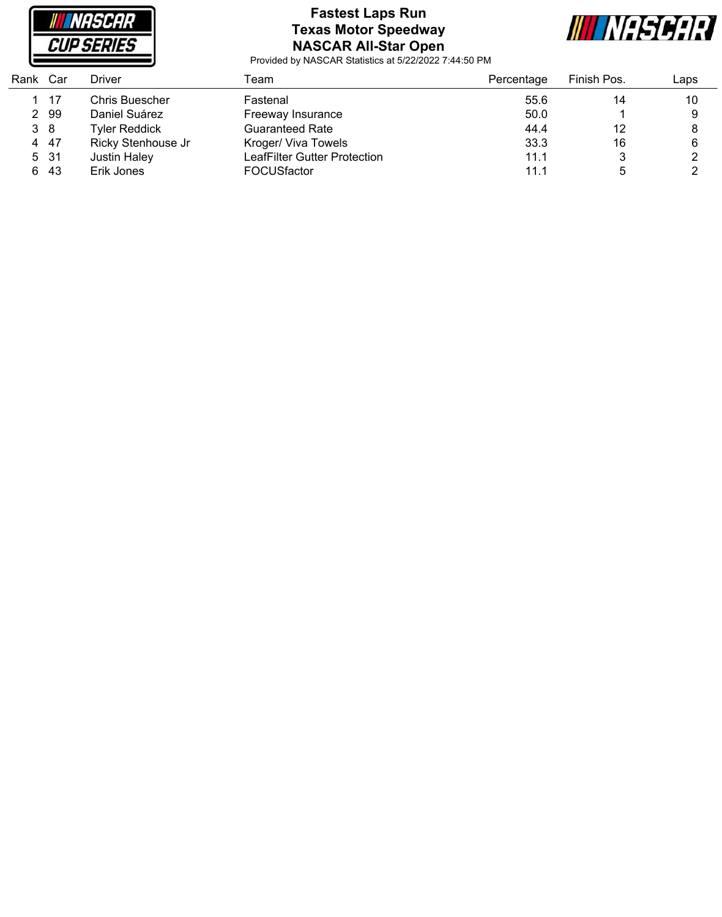

# **Fastest Laps Run Texas Motor Speedway NASCAR All-Star Open**



| Rank Car |      | Driver                | Team                         | Percentage | Finish Pos. | Laps |
|----------|------|-----------------------|------------------------------|------------|-------------|------|
|          | - 17 | <b>Chris Buescher</b> | Fastenal                     | 55.6       | 14          | 10   |
|          | 2 99 | Daniel Suárez         | Freeway Insurance            | 50.0       |             | 9    |
| 3 8      |      | <b>Tyler Reddick</b>  | <b>Guaranteed Rate</b>       | 44.4       | 12          | 8    |
|          | 4 47 | Ricky Stenhouse Jr    | Kroger/ Viva Towels          | 33.3       | 16          | 6    |
|          | 5 31 | Justin Haley          | LeafFilter Gutter Protection | 11.1       |             |      |
|          | 6 43 | Erik Jones            | <b>FOCUSfactor</b>           | 11.1       | 5           |      |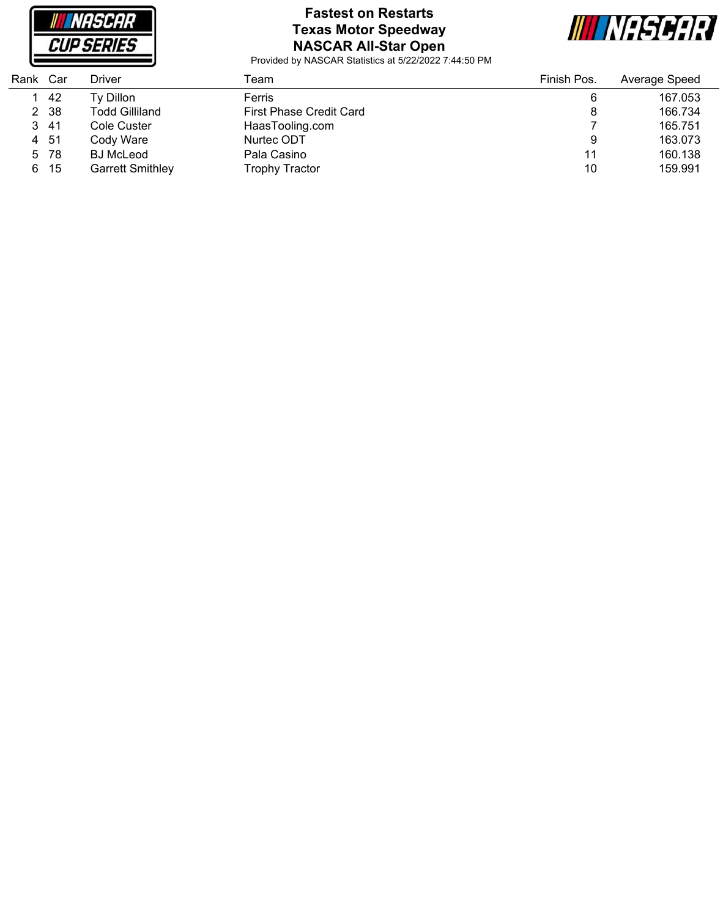

# **Fastest on Restarts Texas Motor Speedway NASCAR All-Star Open**



| Rank | Car  | Driver                  | Team                           | Finish Pos. | Average Speed |
|------|------|-------------------------|--------------------------------|-------------|---------------|
|      | -42  | Ty Dillon               | Ferris                         | 6           | 167.053       |
|      | 2 38 | Todd Gilliland          | <b>First Phase Credit Card</b> | 8           | 166.734       |
|      | 3 41 | Cole Custer             | HaasTooling.com                |             | 165.751       |
|      | 4 51 | Cody Ware               | Nurtec ODT                     | 9           | 163.073       |
|      | 5 78 | <b>BJ</b> McLeod        | Pala Casino                    | 11          | 160.138       |
|      | 6 15 | <b>Garrett Smithley</b> | <b>Trophy Tractor</b>          | 10          | 159.991       |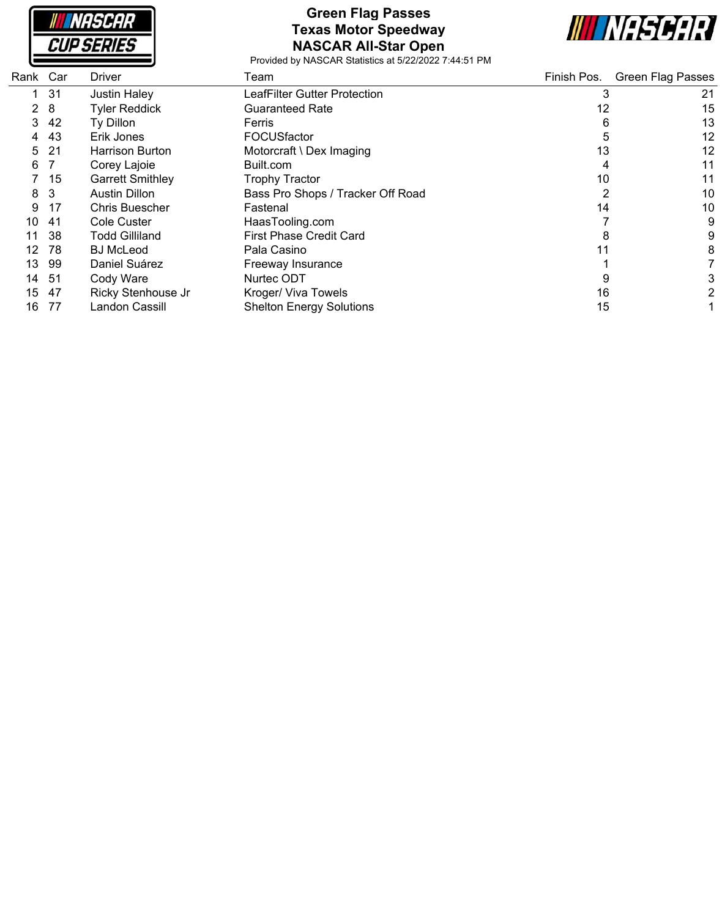**NASCAR CUP SERIES** 

#### **Green Flag Passes Texas Motor Speedway NASCAR All-Star Open**



| Rank Car              |     | Driver                  | Team                              | Finish Pos. | <b>Green Flag Passes</b> |
|-----------------------|-----|-------------------------|-----------------------------------|-------------|--------------------------|
|                       | 31  | <b>Justin Haley</b>     | LeafFilter Gutter Protection      | 3           | 21                       |
| $\mathbf{2}^{\prime}$ | 8   | <b>Tyler Reddick</b>    | <b>Guaranteed Rate</b>            | 12          | 15                       |
| 3                     | 42  | Ty Dillon               | Ferris                            | 6           | 13                       |
| 4                     | 43  | Erik Jones              | FOCUSfactor                       | 5           | 12                       |
| 5.                    | 21  | <b>Harrison Burton</b>  | Motorcraft \ Dex Imaging          | 13          | 12                       |
| 6                     |     | Corey Lajoie            | Built.com                         |             | 11                       |
|                       | 15  | <b>Garrett Smithley</b> | <b>Trophy Tractor</b>             | 10          | 11                       |
| 8                     | -3  | <b>Austin Dillon</b>    | Bass Pro Shops / Tracker Off Road | 2           | 10                       |
| 9                     | 17  | <b>Chris Buescher</b>   | Fastenal                          | 14          | 10                       |
| 10                    | -41 | Cole Custer             | HaasTooling.com                   |             | 9                        |
| 11                    | 38  | <b>Todd Gilliland</b>   | <b>First Phase Credit Card</b>    | 8           | 9                        |
| 12                    | 78  | <b>BJ</b> McLeod        | Pala Casino                       | 11          | 8                        |
| 13                    | 99  | Daniel Suárez           | Freeway Insurance                 |             |                          |
| 14                    | -51 | Cody Ware               | Nurtec ODT                        | 9           |                          |
| 15                    | -47 | Ricky Stenhouse Jr      | Kroger/ Viva Towels               | 16          |                          |
| 16                    | 77  | Landon Cassill          | <b>Shelton Energy Solutions</b>   | 15          |                          |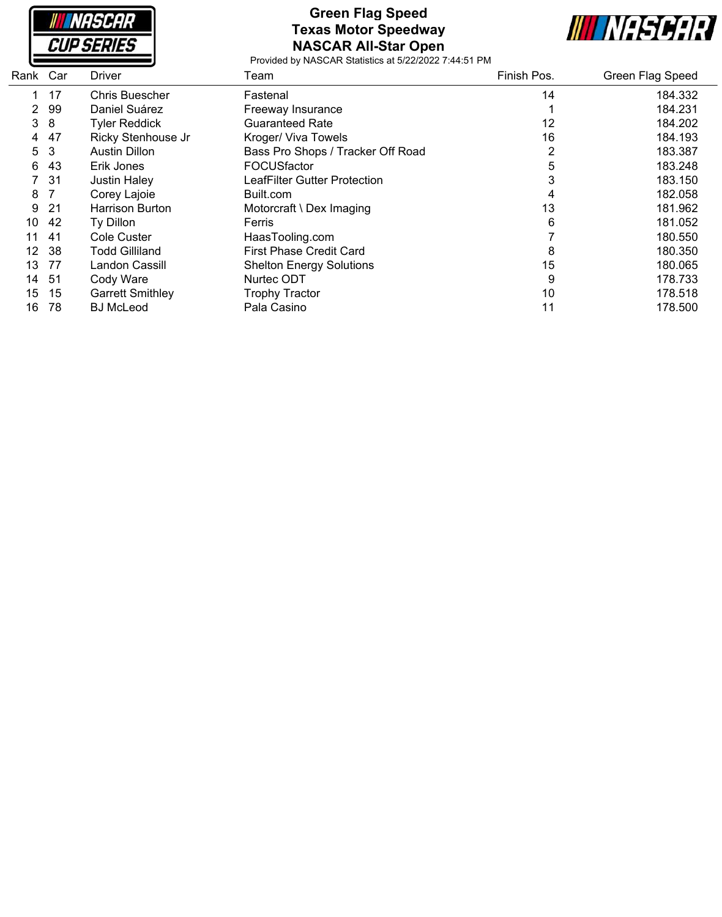

### **Green Flag Speed Texas Motor Speedway NASCAR All-Star Open**



| Rank Car |     | Driver                  | Team                              | Finish Pos. | Green Flag Speed |
|----------|-----|-------------------------|-----------------------------------|-------------|------------------|
|          | 17  | <b>Chris Buescher</b>   | Fastenal                          | 14          | 184.332          |
| 2        | 99  | Daniel Suárez           | Freeway Insurance                 |             | 184.231          |
| 3        | 8   | <b>Tyler Reddick</b>    | <b>Guaranteed Rate</b>            | 12          | 184.202          |
| 4        | 47  | Ricky Stenhouse Jr      | Kroger/ Viva Towels               | 16          | 184.193          |
| 5        | 3   | <b>Austin Dillon</b>    | Bass Pro Shops / Tracker Off Road | 2           | 183.387          |
| 6        | 43  | Erik Jones              | FOCUSfactor                       | 5           | 183.248          |
|          | -31 | <b>Justin Haley</b>     | LeafFilter Gutter Protection      |             | 183.150          |
| 8        |     | Corey Lajoie            | Built.com                         | 4           | 182.058          |
| 9        | -21 | Harrison Burton         | Motorcraft \ Dex Imaging          | 13          | 181.962          |
| 10       | 42  | Ty Dillon               | Ferris                            | 6           | 181.052          |
| 11       | -41 | Cole Custer             | HaasTooling.com                   |             | 180.550          |
| 12       | -38 | <b>Todd Gilliland</b>   | First Phase Credit Card           | 8           | 180.350          |
| 13       | -77 | Landon Cassill          | <b>Shelton Energy Solutions</b>   | 15          | 180.065          |
| 14       | -51 | Cody Ware               | Nurtec ODT                        | 9           | 178.733          |
| 15       | 15  | <b>Garrett Smithley</b> | <b>Trophy Tractor</b>             | 10          | 178.518          |
| 16       | 78  | <b>BJ</b> McLeod        | Pala Casino                       | 11          | 178.500          |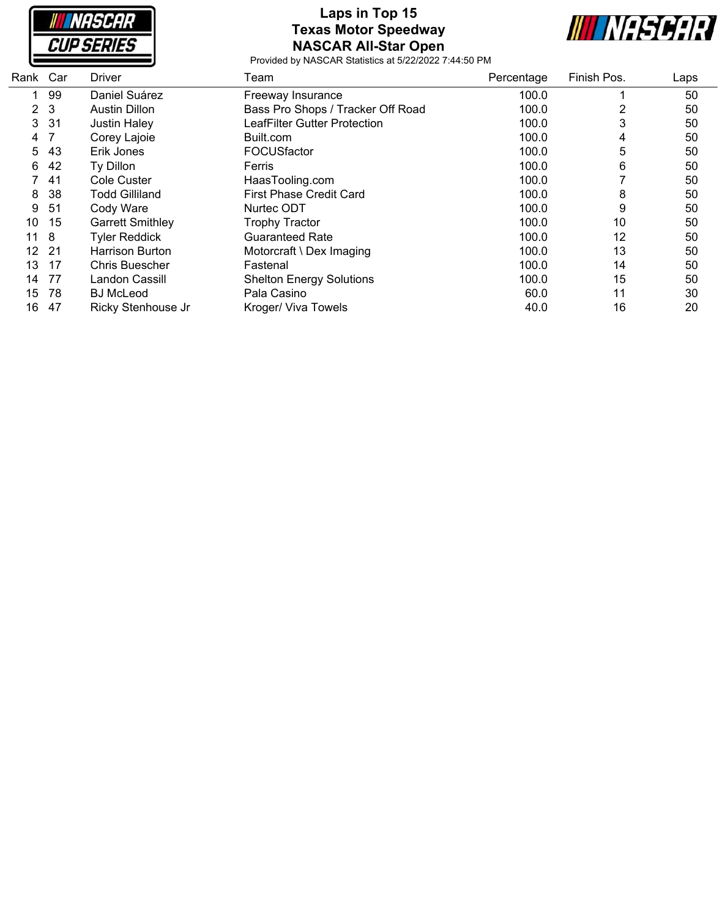**NASCAR CUP SERIES** 

# **Laps in Top 15 Texas Motor Speedway NASCAR All-Star Open**



| Rank Car              |              | Driver                  | Team                              | Percentage | Finish Pos. | Laps |
|-----------------------|--------------|-------------------------|-----------------------------------|------------|-------------|------|
| 1                     | 99           | Daniel Suárez           | Freeway Insurance                 | 100.0      |             | 50   |
| $\mathbf{2}^{\prime}$ | $\mathbf{3}$ | <b>Austin Dillon</b>    | Bass Pro Shops / Tracker Off Road | 100.0      | 2           | 50   |
| 3                     | 31           | <b>Justin Haley</b>     | LeafFilter Gutter Protection      | 100.0      | 3           | 50   |
| 4                     |              | Corey Lajoie            | Built.com                         | 100.0      | 4           | 50   |
| 5                     | 43           | Erik Jones              | <b>FOCUSfactor</b>                | 100.0      | 5           | 50   |
| 6                     | 42           | Ty Dillon               | Ferris                            | 100.0      | 6           | 50   |
|                       | 41           | Cole Custer             | HaasTooling.com                   | 100.0      |             | 50   |
| 8                     | 38           | <b>Todd Gilliland</b>   | <b>First Phase Credit Card</b>    | 100.0      | 8           | 50   |
| 9                     | 51           | Cody Ware               | Nurtec ODT                        | 100.0      | 9           | 50   |
| 10                    | 15           | <b>Garrett Smithley</b> | <b>Trophy Tractor</b>             | 100.0      | 10          | 50   |
| 11                    | -8           | <b>Tyler Reddick</b>    | <b>Guaranteed Rate</b>            | 100.0      | 12          | 50   |
| 12 <sup>2</sup>       | - 21         | Harrison Burton         | Motorcraft \ Dex Imaging          | 100.0      | 13          | 50   |
| 13                    | 17           | <b>Chris Buescher</b>   | Fastenal                          | 100.0      | 14          | 50   |
| 14                    | 77           | Landon Cassill          | <b>Shelton Energy Solutions</b>   | 100.0      | 15          | 50   |
| 15                    | 78           | <b>BJ</b> McLeod        | Pala Casino                       | 60.0       | 11          | 30   |
| 16                    | 47           | Ricky Stenhouse Jr      | Kroger/ Viva Towels               | 40.0       | 16          | 20   |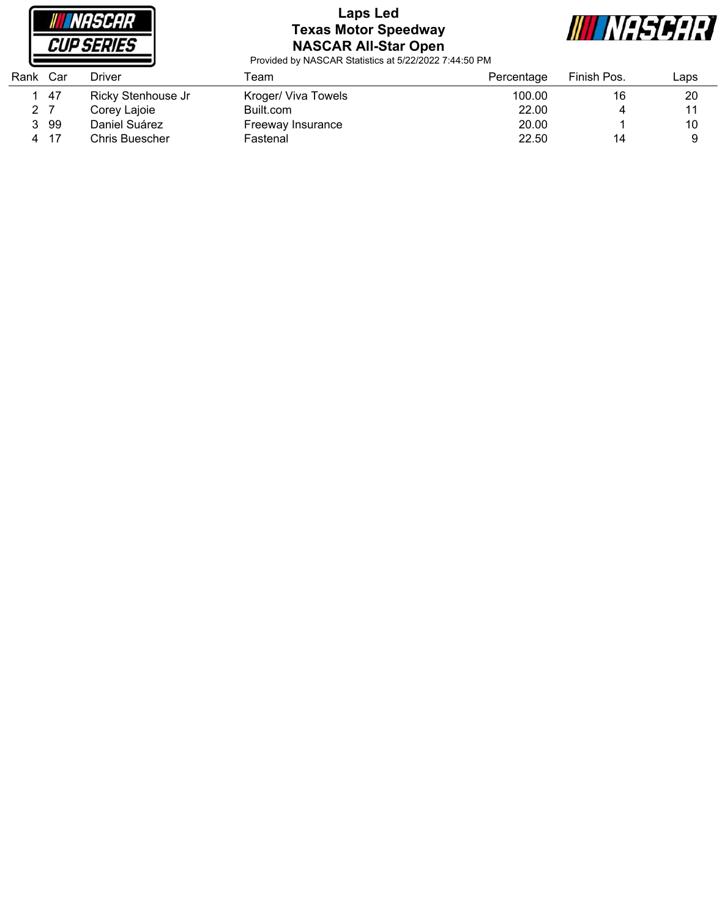

# **Laps Led Texas Motor Speedway NASCAR All-Star Open**



| Rank                 | Car | Driver             | ⊺eam                | Percentage | Finish Pos. | ∟aps |
|----------------------|-----|--------------------|---------------------|------------|-------------|------|
|                      | -47 | Ricky Stenhouse Jr | Kroger/ Viva Towels | 100.00     | 16          | 20   |
| $\mathbf{2}^{\circ}$ |     | Corey Lajoie       | Built.com           | 22.00      |             | 11   |
|                      | 99  | Daniel Suárez      | Freeway Insurance   | 20.00      |             | 10   |
| 4                    | -17 | Chris Buescher     | Fastenal            | 22.50      | 14          |      |
|                      |     |                    |                     |            |             |      |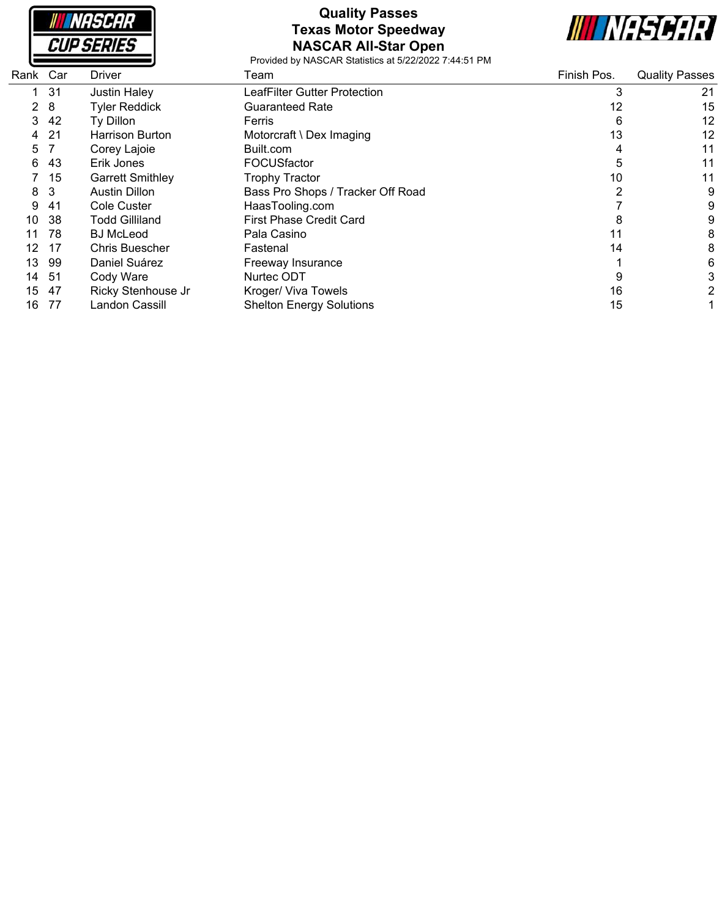

# **Quality Passes Texas Motor Speedway NASCAR All-Star Open**



| Rank Car |     | Driver                  | Team                              | Finish Pos.    | <b>Quality Passes</b> |
|----------|-----|-------------------------|-----------------------------------|----------------|-----------------------|
|          | 31  | <b>Justin Haley</b>     | LeafFilter Gutter Protection      | 3              | 21                    |
| 2        | 8   | <b>Tyler Reddick</b>    | <b>Guaranteed Rate</b>            | 12             | 15                    |
| 3        | 42  | Ty Dillon               | Ferris                            | 6              | 12                    |
| 4        | -21 | <b>Harrison Burton</b>  | Motorcraft \ Dex Imaging          | 13             | 12                    |
| 5        |     | Corey Lajoie            | Built.com                         | 4              | 11                    |
| 6        | 43  | Erik Jones              | FOCUSfactor                       | 5              | 11                    |
|          | 15  | <b>Garrett Smithley</b> | <b>Trophy Tractor</b>             | 10             | 11                    |
| 8        | 3   | <b>Austin Dillon</b>    | Bass Pro Shops / Tracker Off Road | $\overline{2}$ | 9                     |
| 9        | -41 | Cole Custer             | HaasTooling.com                   |                | 9                     |
| 10       | -38 | <b>Todd Gilliland</b>   | <b>First Phase Credit Card</b>    | 8              | 9                     |
| 11       | 78  | <b>BJ</b> McLeod        | Pala Casino                       |                | 8                     |
| 12       | 17  | <b>Chris Buescher</b>   | Fastenal                          | 14             | 8                     |
| 13       | 99  | Daniel Suárez           | Freeway Insurance                 |                | 6                     |
| 14       | -51 | Cody Ware               | Nurtec ODT                        |                | 3                     |
| 15       | 47  | Ricky Stenhouse Jr      | Kroger/ Viva Towels               | 16             | 2                     |
| 16       | 77  | Landon Cassill          | <b>Shelton Energy Solutions</b>   | 15             |                       |